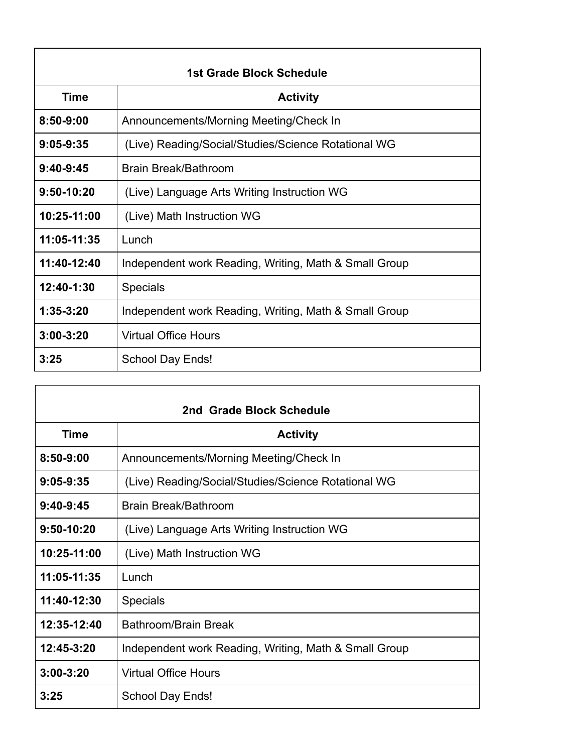| 1st Grade Block Schedule |                                                       |  |
|--------------------------|-------------------------------------------------------|--|
| <b>Time</b>              | <b>Activity</b>                                       |  |
| $8:50 - 9:00$            | Announcements/Morning Meeting/Check In                |  |
| $9:05-9:35$              | (Live) Reading/Social/Studies/Science Rotational WG   |  |
| $9:40-9:45$              | Brain Break/Bathroom                                  |  |
| 9:50-10:20               | (Live) Language Arts Writing Instruction WG           |  |
| 10:25-11:00              | (Live) Math Instruction WG                            |  |
| 11:05-11:35              | Lunch                                                 |  |
| 11:40-12:40              | Independent work Reading, Writing, Math & Small Group |  |
| 12:40-1:30               | <b>Specials</b>                                       |  |
| $1:35-3:20$              | Independent work Reading, Writing, Math & Small Group |  |
| $3:00 - 3:20$            | <b>Virtual Office Hours</b>                           |  |
| 3:25                     | <b>School Day Ends!</b>                               |  |

| 2nd Grade Block Schedule |                                                       |  |
|--------------------------|-------------------------------------------------------|--|
| <b>Time</b>              | <b>Activity</b>                                       |  |
| $8:50 - 9:00$            | Announcements/Morning Meeting/Check In                |  |
| $9:05 - 9:35$            | (Live) Reading/Social/Studies/Science Rotational WG   |  |
| $9:40-9:45$              | Brain Break/Bathroom                                  |  |
| 9:50-10:20               | (Live) Language Arts Writing Instruction WG           |  |
| 10:25-11:00              | (Live) Math Instruction WG                            |  |
| 11:05-11:35              | Lunch                                                 |  |
| 11:40-12:30              | <b>Specials</b>                                       |  |
| 12:35-12:40              | Bathroom/Brain Break                                  |  |
| 12:45-3:20               | Independent work Reading, Writing, Math & Small Group |  |
| $3:00 - 3:20$            | <b>Virtual Office Hours</b>                           |  |
| 3:25                     | School Day Ends!                                      |  |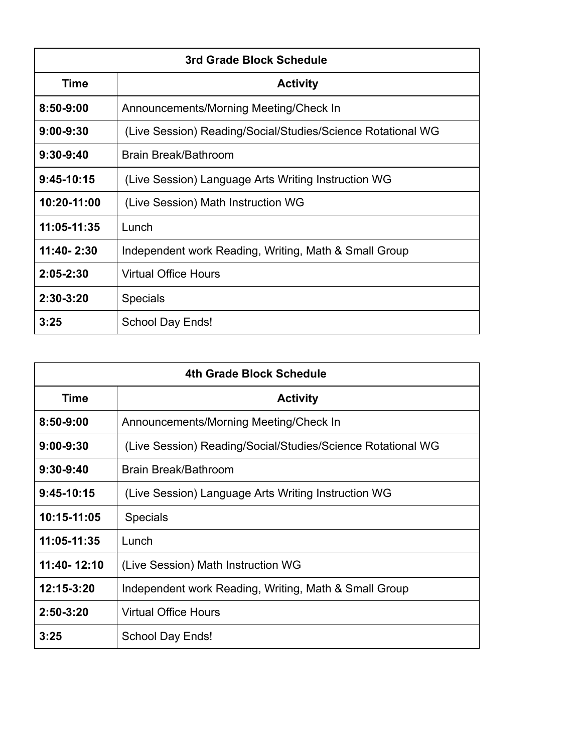| 3rd Grade Block Schedule |                                                             |  |
|--------------------------|-------------------------------------------------------------|--|
| <b>Time</b>              | <b>Activity</b>                                             |  |
| $8:50 - 9:00$            | Announcements/Morning Meeting/Check In                      |  |
| $9:00 - 9:30$            | (Live Session) Reading/Social/Studies/Science Rotational WG |  |
| $9:30-9:40$              | Brain Break/Bathroom                                        |  |
| $9:45-10:15$             | (Live Session) Language Arts Writing Instruction WG         |  |
| 10:20-11:00              | (Live Session) Math Instruction WG                          |  |
| 11:05-11:35              | Lunch                                                       |  |
| 11:40-2:30               | Independent work Reading, Writing, Math & Small Group       |  |
| 2:05-2:30                | <b>Virtual Office Hours</b>                                 |  |
| $2:30-3:20$              | <b>Specials</b>                                             |  |
| 3:25                     | School Day Ends!                                            |  |

| 4th Grade Block Schedule |                                                             |  |
|--------------------------|-------------------------------------------------------------|--|
| Time                     | <b>Activity</b>                                             |  |
| $8:50 - 9:00$            | Announcements/Morning Meeting/Check In                      |  |
| $9:00 - 9:30$            | (Live Session) Reading/Social/Studies/Science Rotational WG |  |
| $9:30-9:40$              | Brain Break/Bathroom                                        |  |
| $9:45-10:15$             | (Live Session) Language Arts Writing Instruction WG         |  |
| 10:15-11:05              | <b>Specials</b>                                             |  |
| 11:05-11:35              | Lunch                                                       |  |
| 11:40-12:10              | (Live Session) Math Instruction WG                          |  |
| 12:15-3:20               | Independent work Reading, Writing, Math & Small Group       |  |
| $2:50 - 3:20$            | <b>Virtual Office Hours</b>                                 |  |
| 3:25                     | School Day Ends!                                            |  |